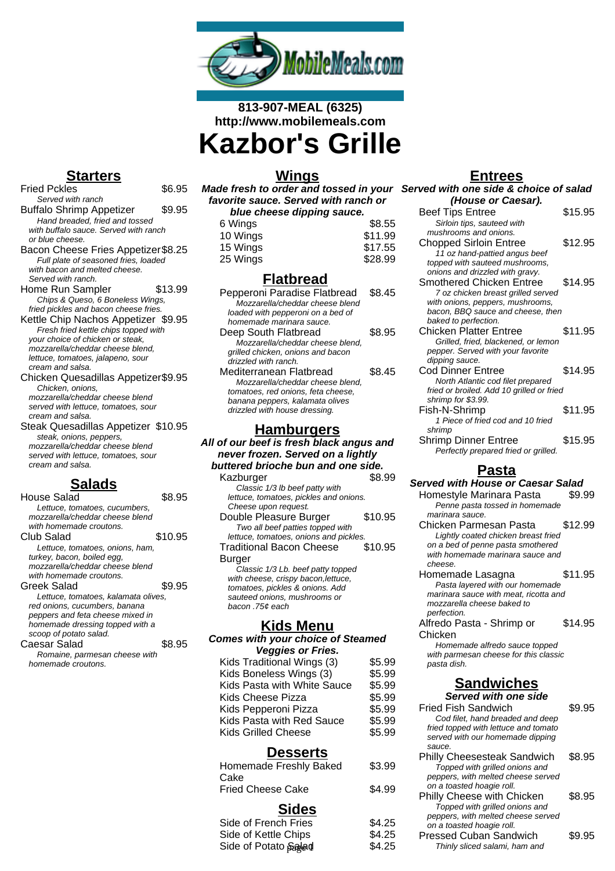

# **813-907-MEAL (6325) http://www.mobilemeals.com Kazbor's Grille**

## **Starters**

Fried Pckles \$6.95 Served with ranch Buffalo Shrimp Appetizer \$9.95 Hand breaded, fried and tossed with buffalo sauce. Served with ranch or blue cheese. Bacon Cheese Fries Appetizer\$8.25 Full plate of seasoned fries, loaded with bacon and melted cheese. Served with ranch. Home Run Sampler \$13.99 Chips & Queso, 6 Boneless Wings, fried pickles and bacon cheese fries. Kettle Chip Nachos Appetizer \$9.95 Fresh fried kettle chips topped with your choice of chicken or steak, mozzarella/cheddar cheese blend, lettuce, tomatoes, jalapeno, sour cream and salsa. Chicken Quesadillas Appetizer\$9.95 Chicken, onions,

mozzarella/cheddar cheese blend served with lettuce, tomatoes, sour cream and salsa.

Steak Quesadillas Appetizer \$10.95 steak, onions, peppers, mozzarella/cheddar cheese blend served with lettuce, tomatoes, sour cream and salsa.

## **Salads**

| House Salad                         | 8.95    |
|-------------------------------------|---------|
| Lettuce, tomatoes, cucumbers,       |         |
| mozzarella/cheddar cheese blend     |         |
| with homemade croutons.             |         |
| <b>Club Salad</b>                   | \$10.95 |
| Lettuce, tomatoes, onions, ham,     |         |
| turkey, bacon, boiled egg,          |         |
| mozzarella/cheddar cheese blend     |         |
| with homemade croutons.             |         |
| Greek Salad                         | \$9.95  |
| Lettuce, tomatoes, kalamata olives, |         |
| red onions, cucumbers, banana       |         |
| peppers and feta cheese mixed in    |         |
| homemade dressing topped with a     |         |
| scoop of potato salad.              |         |
| Caesar Salad                        | \$8.95  |
| Romaine, parmesan cheese with       |         |
| homemade croutons.                  |         |

**Wings Made fresh to order and tossed in your Served with one side & choice of salad favorite sauce. Served with ranch or blue cheese dipping sauce.**

| <u>MING ANGGOG MINNING SANGG.</u> |         |
|-----------------------------------|---------|
| 6 Wings                           | \$8.55  |
| 10 Wings                          | \$11.99 |
| 15 Wings                          | \$17.55 |
| 25 Wings                          | \$28.99 |
|                                   |         |

## **Flatbread**

| Pepperoni Paradise Flatbread<br>Mozzarella/cheddar cheese blend       | S8 45  |
|-----------------------------------------------------------------------|--------|
| loaded with pepperoni on a bed of<br>homemade marinara sauce.         |        |
| Deep South Flatbread                                                  | S8 95  |
| Mozzarella/cheddar cheese blend.<br>grilled chicken, onions and bacon |        |
| drizzled with ranch                                                   |        |
| Mediterranean Flatbread<br>Mozzarella/cheddar cheese blend.           | \$8.45 |
| tomatoes, red onions, feta cheese,                                    |        |
| banana peppers, kalamata olives<br>drizzled with house dressing.      |        |
|                                                                       |        |

### **Hamburgers**

**All of our beef is fresh black angus and never frozen. Served on a lightly buttered brioche bun and one side.** Kazburger **\$8.99** 

Classic 1/3 lb beef patty with lettuce, tomatoes, pickles and onions. Cheese upon request. Double Pleasure Burger \$10.95 Two all beef patties topped with lettuce, tomatoes, onions and pickles. Traditional Bacon Cheese Burger \$10.95 Classic 1/3 Lb. beef patty topped with cheese, crispy bacon, lettuce,

tomatoes, pickles & onions. Add sauteed onions, mushrooms or bacon .75¢ each

#### **Kids Menu**

#### **Comes with your choice of Steamed Veggies or Fries.**

| $1.49100$ VI 11100.         |        |
|-----------------------------|--------|
| Kids Traditional Wings (3)  | \$5.99 |
| Kids Boneless Wings (3)     | \$5.99 |
| Kids Pasta with White Sauce | \$5.99 |
| Kids Cheese Pizza           | \$5.99 |
| Kids Pepperoni Pizza        | \$5.99 |
| Kids Pasta with Red Sauce   | \$5.99 |
| <b>Kids Grilled Cheese</b>  | \$5.99 |

#### **Desserts**

| Homemade Freshly Baked           | \$3.99 |
|----------------------------------|--------|
| Cake<br><b>Fried Cheese Cake</b> | \$4.99 |
|                                  |        |
| <b>Sides</b>                     |        |
| Side of French Fries             | \$4.25 |
| Side of Kettle Chips             | \$4.25 |

Side of Potato Salad \$4.25

**Entrees (House or Caesar).** Beef Tips Entree \$15.95 Sirloin tips, sauteed with mushrooms and onions. Chopped Sirloin Entree \$12.95 11 oz hand-pattied angus beef topped with sauteed mushrooms, onions and drizzled with gravy. Smothered Chicken Entree \$14.95 7 oz chicken breast grilled served with onions, peppers, mushrooms, bacon, BBQ sauce and cheese, then baked to perfection. Chicken Platter Entree \$11.95 Grilled, fried, blackened, or lemon pepper. Served with your favorite dipping sauce. Cod Dinner Entree \$14.95 North Atlantic cod filet prepared fried or broiled. Add 10 grilled or fried shrimp for \$3.99. Fish-N-Shrimp \$11.95 1 Piece of fried cod and 10 fried shrimp Shrimp Dinner Entree \$15.95 Perfectly prepared fried or grilled. **Pasta Served with House or Caesar Salad** Homestyle Marinara Pasta \$9.99 Penne pasta tossed in homemade marinara sauce. Chicken Parmesan Pasta \$12.99 Lightly coated chicken breast fried on a bed of penne pasta smothered with homemade marinara sauce and cheese. Homemade Lasagna  $$11.95$ Pasta layered with our homemade marinara sauce with meat, ricotta and mozzarella cheese baked to perfection. Alfredo Pasta - Shrimp or Chicken \$14.95 Homemade alfredo sauce topped with parmesan cheese for this classic pasta dish.

## **Sandwiches**

**Served with one side**

| <b>Fried Fish Sandwich</b><br>Cod filet, hand breaded and deep |        |
|----------------------------------------------------------------|--------|
| fried topped with lettuce and tomato                           |        |
| served with our homemade dipping                               |        |
| sauce.                                                         |        |
| <b>Philly Cheesesteak Sandwich</b>                             | \$8.95 |
| Topped with grilled onions and                                 |        |
| peppers, with melted cheese served                             |        |
| on a toasted hoagie roll.                                      |        |
| Philly Cheese with Chicken                                     | \$8.95 |
| Topped with grilled onions and                                 |        |
| peppers, with melted cheese served                             |        |
| on a toasted hoagie roll.                                      |        |
| <b>Pressed Cuban Sandwich</b>                                  | \$9.95 |
| Thinly sliced salami, ham and                                  |        |